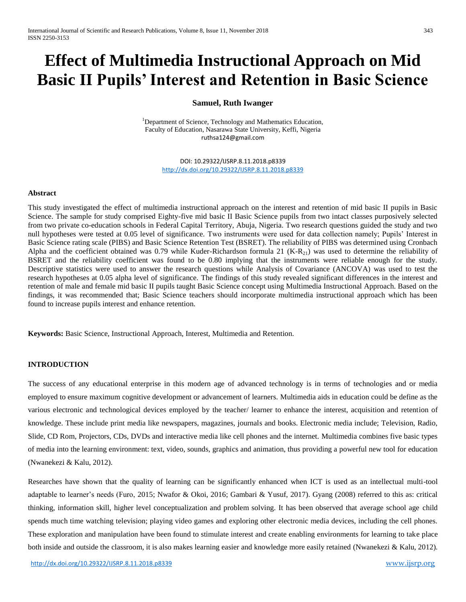# **Effect of Multimedia Instructional Approach on Mid Basic II Pupils' Interest and Retention in Basic Science**

## **Samuel, Ruth Iwanger**

<sup>1</sup>Department of Science, Technology and Mathematics Education, Faculty of Education, Nasarawa State University, Keffi, Nigeria [ruthsa124@gmail.com](mailto:ruthsa124@gmail.com)

> DOI: 10.29322/IJSRP.8.11.2018.p8339 <http://dx.doi.org/10.29322/IJSRP.8.11.2018.p8339>

#### **Abstract**

This study investigated the effect of multimedia instructional approach on the interest and retention of mid basic II pupils in Basic Science. The sample for study comprised Eighty-five mid basic II Basic Science pupils from two intact classes purposively selected from two private co-education schools in Federal Capital Territory, Abuja, Nigeria. Two research questions guided the study and two null hypotheses were tested at 0.05 level of significance. Two instruments were used for data collection namely; Pupils' Interest in Basic Science rating scale (PIBS) and Basic Science Retention Test (BSRET). The reliability of PIBS was determined using Cronbach Alpha and the coefficient obtained was 0.79 while Kuder-Richardson formula 21  $(K-R_{21})$  was used to determine the reliability of BSRET and the reliability coefficient was found to be 0.80 implying that the instruments were reliable enough for the study. Descriptive statistics were used to answer the research questions while Analysis of Covariance (ANCOVA) was used to test the research hypotheses at 0.05 alpha level of significance. The findings of this study revealed significant differences in the interest and retention of male and female mid basic II pupils taught Basic Science concept using Multimedia Instructional Approach. Based on the findings, it was recommended that; Basic Science teachers should incorporate multimedia instructional approach which has been found to increase pupils interest and enhance retention.

**Keywords:** Basic Science, Instructional Approach, Interest, Multimedia and Retention.

# **INTRODUCTION**

The success of any educational enterprise in this modern age of advanced technology is in terms of technologies and or media employed to ensure maximum cognitive development or advancement of learners. Multimedia aids in education could be define as the various electronic and technological devices employed by the teacher/ learner to enhance the interest, acquisition and retention of knowledge. These include print media like newspapers, magazines, journals and books. Electronic media include; Television, Radio, Slide, CD Rom, Projectors, CDs, DVDs and interactive media like cell phones and the internet. Multimedia combines five basic types of media into the learning environment: text, video, sounds, graphics and animation, thus providing a powerful new tool for education (Nwanekezi & Kalu, 2012).

Researches have shown that the quality of learning can be significantly enhanced when ICT is used as an intellectual multi-tool adaptable to learner's needs (Furo, 2015; Nwafor & Okoi, 2016; Gambari & Yusuf, 2017). Gyang (2008) referred to this as: critical thinking, information skill, higher level conceptualization and problem solving. It has been observed that average school age child spends much time watching television; playing video games and exploring other electronic media devices, including the cell phones. These exploration and manipulation have been found to stimulate interest and create enabling environments for learning to take place both inside and outside the classroom, it is also makes learning easier and knowledge more easily retained (Nwanekezi & Kalu, 2012).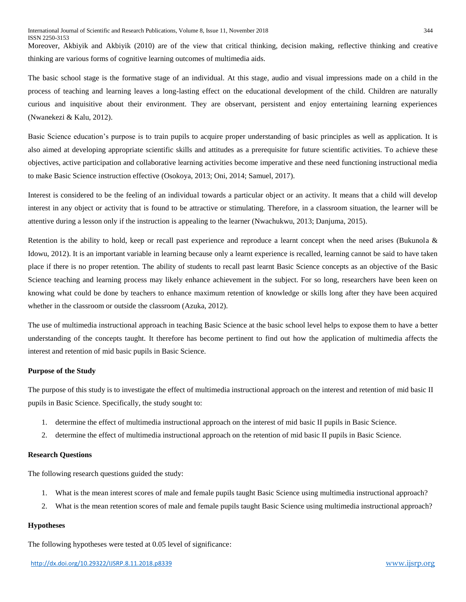Moreover, Akbiyik and Akbiyik (2010) are of the view that critical thinking, decision making, reflective thinking and creative thinking are various forms of cognitive learning outcomes of multimedia aids.

The basic school stage is the formative stage of an individual. At this stage, audio and visual impressions made on a child in the process of teaching and learning leaves a long-lasting effect on the educational development of the child. Children are naturally curious and inquisitive about their environment. They are observant, persistent and enjoy entertaining learning experiences (Nwanekezi & Kalu, 2012).

Basic Science education's purpose is to train pupils to acquire proper understanding of basic principles as well as application. It is also aimed at developing appropriate scientific skills and attitudes as a prerequisite for future scientific activities. To achieve these objectives, active participation and collaborative learning activities become imperative and these need functioning instructional media to make Basic Science instruction effective (Osokoya, 2013; Oni, 2014; Samuel, 2017).

Interest is considered to be the feeling of an individual towards a particular object or an activity. It means that a child will develop interest in any object or activity that is found to be attractive or stimulating. Therefore, in a classroom situation, the learner will be attentive during a lesson only if the instruction is appealing to the learner (Nwachukwu, 2013; Danjuma, 2015).

Retention is the ability to hold, keep or recall past experience and reproduce a learnt concept when the need arises (Bukunola & Idowu, 2012). It is an important variable in learning because only a learnt experience is recalled, learning cannot be said to have taken place if there is no proper retention. The ability of students to recall past learnt Basic Science concepts as an objective of the Basic Science teaching and learning process may likely enhance achievement in the subject. For so long, researchers have been keen on knowing what could be done by teachers to enhance maximum retention of knowledge or skills long after they have been acquired whether in the classroom or outside the classroom (Azuka, 2012).

The use of multimedia instructional approach in teaching Basic Science at the basic school level helps to expose them to have a better understanding of the concepts taught. It therefore has become pertinent to find out how the application of multimedia affects the interest and retention of mid basic pupils in Basic Science.

#### **Purpose of the Study**

The purpose of this study is to investigate the effect of multimedia instructional approach on the interest and retention of mid basic II pupils in Basic Science. Specifically, the study sought to:

- 1. determine the effect of multimedia instructional approach on the interest of mid basic II pupils in Basic Science.
- 2. determine the effect of multimedia instructional approach on the retention of mid basic II pupils in Basic Science.

#### **Research Questions**

The following research questions guided the study:

- 1. What is the mean interest scores of male and female pupils taught Basic Science using multimedia instructional approach?
- 2. What is the mean retention scores of male and female pupils taught Basic Science using multimedia instructional approach?

## **Hypotheses**

The following hypotheses were tested at 0.05 level of significance: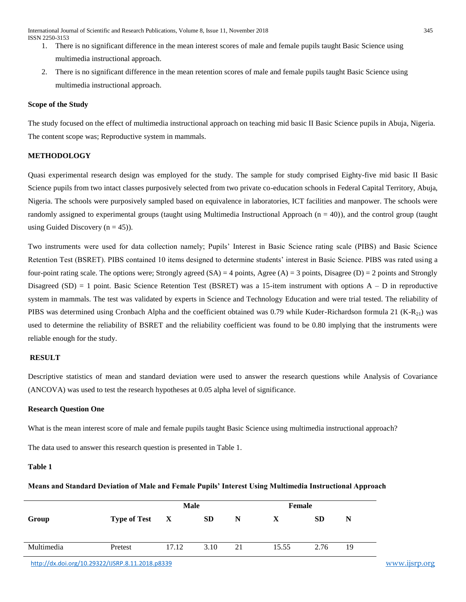- 1. There is no significant difference in the mean interest scores of male and female pupils taught Basic Science using multimedia instructional approach.
- 2. There is no significant difference in the mean retention scores of male and female pupils taught Basic Science using multimedia instructional approach.

## **Scope of the Study**

The study focused on the effect of multimedia instructional approach on teaching mid basic II Basic Science pupils in Abuja, Nigeria. The content scope was; Reproductive system in mammals.

# **METHODOLOGY**

Quasi experimental research design was employed for the study. The sample for study comprised Eighty-five mid basic II Basic Science pupils from two intact classes purposively selected from two private co-education schools in Federal Capital Territory, Abuja, Nigeria. The schools were purposively sampled based on equivalence in laboratories, ICT facilities and manpower. The schools were randomly assigned to experimental groups (taught using Multimedia Instructional Approach (n = 40)), and the control group (taught using Guided Discovery  $(n = 45)$ ).

Two instruments were used for data collection namely; Pupils' Interest in Basic Science rating scale (PIBS) and Basic Science Retention Test (BSRET). PIBS contained 10 items designed to determine students' interest in Basic Science. PIBS was rated using a four-point rating scale. The options were; Strongly agreed  $(SA) = 4$  points, Agree  $(A) = 3$  points, Disagree  $(D) = 2$  points and Strongly Disagreed  $(SD) = 1$  point. Basic Science Retention Test (BSRET) was a 15-item instrument with options  $A - D$  in reproductive system in mammals. The test was validated by experts in Science and Technology Education and were trial tested. The reliability of PIBS was determined using Cronbach Alpha and the coefficient obtained was 0.79 while Kuder-Richardson formula 21  $(K-R_{21})$  was used to determine the reliability of BSRET and the reliability coefficient was found to be 0.80 implying that the instruments were reliable enough for the study.

#### **RESULT**

Descriptive statistics of mean and standard deviation were used to answer the research questions while Analysis of Covariance (ANCOVA) was used to test the research hypotheses at 0.05 alpha level of significance.

#### **Research Question One**

What is the mean interest score of male and female pupils taught Basic Science using multimedia instructional approach?

The data used to answer this research question is presented in Table 1.

# **Table 1**

#### **Means and Standard Deviation of Male and Female Pupils' Interest Using Multimedia Instructional Approach**

|            | Male           |       |           |    | Female |           |    |
|------------|----------------|-------|-----------|----|--------|-----------|----|
| Group      | Type of Test X |       | <b>SD</b> | N  | X      | <b>SD</b> | N  |
| Multimedia | Pretest        | 17.12 | 3.10      | 21 | 15.55  | 2.76      | 19 |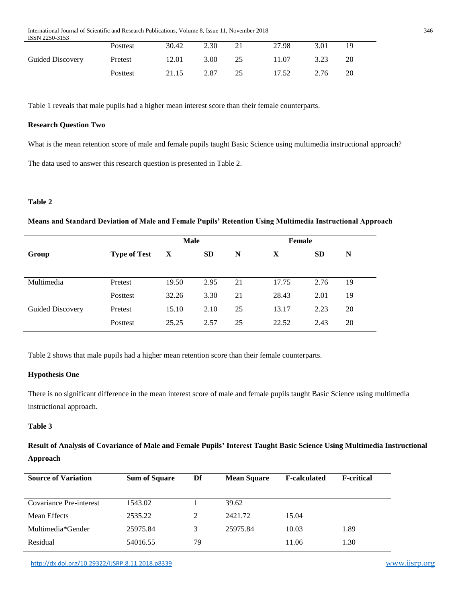International Journal of Scientific and Research Publications, Volume 8, Issue 11, November 2018 346 ISSN 2250-3153

| <b>BULLET 22JU-JIJJ</b> |                 |       |      |    |       |      |    |
|-------------------------|-----------------|-------|------|----|-------|------|----|
|                         | <b>Posttest</b> | 30.42 | 2.30 |    | 27.98 | 3.01 | 19 |
| <b>Guided Discovery</b> | Pretest         | 12.01 | 3.00 | 25 | 11.07 | 3.23 | 20 |
|                         | Posttest        | 21.15 | 2.87 | 25 | 17.52 | 2.76 | 20 |

Table 1 reveals that male pupils had a higher mean interest score than their female counterparts.

## **Research Question Two**

What is the mean retention score of male and female pupils taught Basic Science using multimedia instructional approach? The data used to answer this research question is presented in Table 2.

# **Table 2**

## **Means and Standard Deviation of Male and Female Pupils' Retention Using Multimedia Instructional Approach**

|                  |                     | <b>Male</b> |           |    | <b>Female</b> |           |    |
|------------------|---------------------|-------------|-----------|----|---------------|-----------|----|
| Group            | <b>Type of Test</b> | X           | <b>SD</b> | N  | X             | <b>SD</b> | N  |
|                  |                     |             |           |    |               |           |    |
| Multimedia       | Pretest             | 19.50       | 2.95      | 21 | 17.75         | 2.76      | 19 |
|                  | Posttest            | 32.26       | 3.30      | 21 | 28.43         | 2.01      | 19 |
| Guided Discovery | Pretest             | 15.10       | 2.10      | 25 | 13.17         | 2.23      | 20 |
|                  | Posttest            | 25.25       | 2.57      | 25 | 22.52         | 2.43      | 20 |

Table 2 shows that male pupils had a higher mean retention score than their female counterparts.

#### **Hypothesis One**

There is no significant difference in the mean interest score of male and female pupils taught Basic Science using multimedia instructional approach.

# **Table 3**

**Result of Analysis of Covariance of Male and Female Pupils' Interest Taught Basic Science Using Multimedia Instructional Approach**

| <b>Source of Variation</b> | <b>Sum of Square</b> | Df | <b>Mean Square</b> | <b>F-calculated</b> | <b>F</b> -critical |
|----------------------------|----------------------|----|--------------------|---------------------|--------------------|
| Covariance Pre-interest    | 1543.02              |    | 39.62              |                     |                    |
| Mean Effects               | 2535.22              | 2  | 2421.72            | 15.04               |                    |
| Multimedia*Gender          | 25975.84             | 3  | 25975.84           | 10.03               | 1.89               |
| Residual                   | 54016.55             | 79 |                    | 11.06               | 1.30               |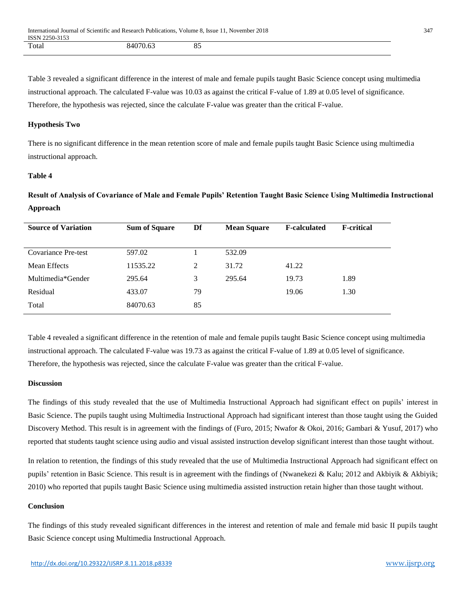Table 3 revealed a significant difference in the interest of male and female pupils taught Basic Science concept using multimedia instructional approach. The calculated F-value was 10.03 as against the critical F-value of 1.89 at 0.05 level of significance. Therefore, the hypothesis was rejected, since the calculate F-value was greater than the critical F-value.

#### **Hypothesis Two**

There is no significant difference in the mean retention score of male and female pupils taught Basic Science using multimedia instructional approach.

## **Table 4**

**Result of Analysis of Covariance of Male and Female Pupils' Retention Taught Basic Science Using Multimedia Instructional Approach**

| <b>Source of Variation</b> | <b>Sum of Square</b> | Df<br><b>Mean Square</b> |        | <b>F-calculated</b> | <b>F-critical</b> |
|----------------------------|----------------------|--------------------------|--------|---------------------|-------------------|
|                            |                      |                          |        |                     |                   |
| <b>Covariance Pre-test</b> | 597.02               |                          | 532.09 |                     |                   |
| Mean Effects               | 11535.22             | 2                        | 31.72  | 41.22               |                   |
| Multimedia*Gender          | 295.64               | 3                        | 295.64 | 19.73               | 1.89              |
| Residual                   | 433.07               | 79                       |        | 19.06               | 1.30              |
| Total                      | 84070.63             | 85                       |        |                     |                   |

Table 4 revealed a significant difference in the retention of male and female pupils taught Basic Science concept using multimedia instructional approach. The calculated F-value was 19.73 as against the critical F-value of 1.89 at 0.05 level of significance. Therefore, the hypothesis was rejected, since the calculate F-value was greater than the critical F-value.

#### **Discussion**

The findings of this study revealed that the use of Multimedia Instructional Approach had significant effect on pupils' interest in Basic Science. The pupils taught using Multimedia Instructional Approach had significant interest than those taught using the Guided Discovery Method. This result is in agreement with the findings of (Furo, 2015; Nwafor & Okoi, 2016; Gambari & Yusuf, 2017) who reported that students taught science using audio and visual assisted instruction develop significant interest than those taught without.

In relation to retention, the findings of this study revealed that the use of Multimedia Instructional Approach had significant effect on pupils' retention in Basic Science. This result is in agreement with the findings of (Nwanekezi & Kalu; 2012 and Akbiyik & Akbiyik; 2010) who reported that pupils taught Basic Science using multimedia assisted instruction retain higher than those taught without.

## **Conclusion**

The findings of this study revealed significant differences in the interest and retention of male and female mid basic II pupils taught Basic Science concept using Multimedia Instructional Approach.